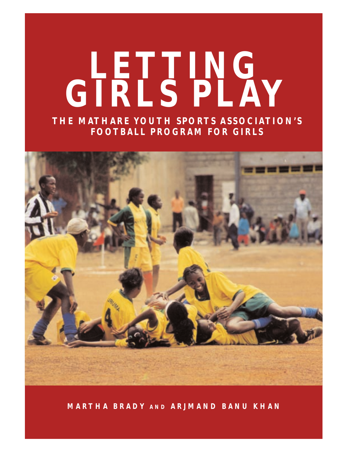## **LETTING GIRLS PLAY**

**THE MATHARE YOUTH SPORTS ASSOCIATION'S FOOTBALL PROGRAM FOR GIRLS**



**MARTHA BRADY AND ARJMAND BANU KHAN**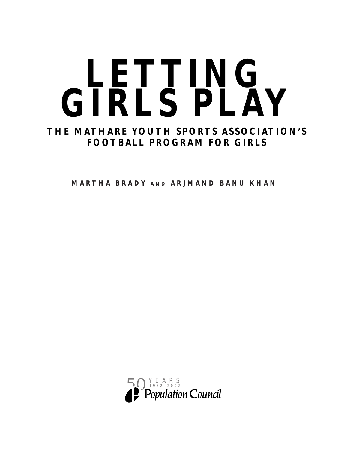# LETTING. **GIRLS PLAY**

## **THE MATHARE YOUTH SPORTS ASSOCIATION'S FOOTBALL PROGRAM FOR GIRLS**

**MARTHA BRADY AND ARJMAND BANU KHAN**

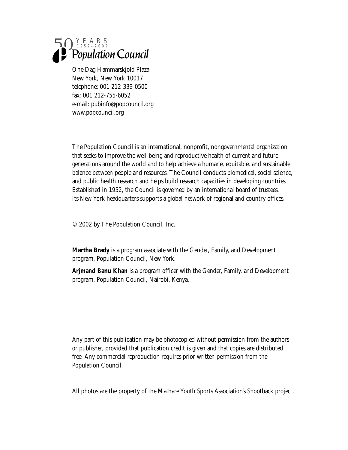

One Dag Hammarskjold Plaza New York, New York 10017 telephone: 001 212-339-0500 fax: 001 212-755-6052 e-mail: pubinfo@popcouncil.org www.popcouncil.org

The Population Council is an international, nonprofit, nongovernmental organization that seeks to improve the well-being and reproductive health of current and future generations around the world and to help achieve a humane, equitable, and sustainable balance between people and resources. The Council conducts biomedical, social science, and public health research and helps build research capacities in developing countries. Established in 1952, the Council is governed by an international board of trustees. Its New York headquarters supports a global network of regional and country offices.

© 2002 by The Population Council, Inc.

**Martha Brady** is a program associate with the Gender, Family, and Development program, Population Council, New York.

**Arjmand Banu Khan** is a program officer with the Gender, Family, and Development program, Population Council, Nairobi, Kenya.

Any part of this publication may be photocopied without permission from the authors or publisher, provided that publication credit is given and that copies are distributed free. Any commercial reproduction requires prior written permission from the Population Council.

All photos are the property of the Mathare Youth Sports Association's Shootback project.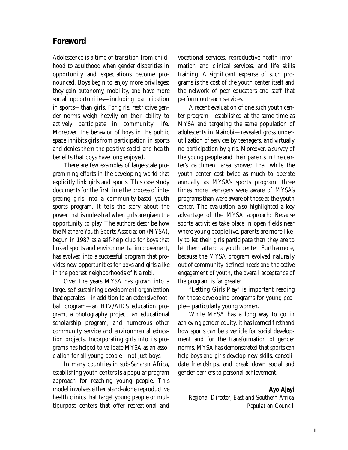## **Foreword**

Adolescence is a time of transition from childhood to adulthood when gender disparities in opportunity and expectations become pronounced. Boys begin to enjoy more privileges; they gain autonomy, mobility, and have more social opportunities—including participation in sports—than girls. For girls, restrictive gender norms weigh heavily on their ability to actively participate in community life. Moreover, the behavior of boys in the public space inhibits girls from participation in sports and denies them the positive social and health benefits that boys have long enjoyed.

There are few examples of large-scale programming efforts in the developing world that explicitly link girls and sports. This case study documents for the first time the process of integrating girls into a community-based youth sports program. It tells the story about the power that is unleashed when girls are given the opportunity to play. The authors describe how the Mathare Youth Sports Association (MYSA), begun in 1987 as a self-help club for boys that linked sports and environmental improvement, has evolved into a successful program that provides new opportunities for boys and girls alike in the poorest neighborhoods of Nairobi.

Over the years MYSA has grown into a large, self-sustaining development organization that operates—in addition to an extensive football program—an HIV/AIDS education program, a photography project, an educational scholarship program, and numerous other community service and environmental education projects. Incorporating girls into its programs has helped to validate MYSA as an association for all young people—not just boys.

In many countries in sub-Saharan Africa, establishing youth centers is a popular program approach for reaching young people. This model involves either stand-alone reproductive health clinics that target young people or multipurpose centers that offer recreational and vocational services, reproductive health information and clinical services, and life skills training. A significant expense of such programs is the cost of the youth center itself and the network of peer educators and staff that perform outreach services.

A recent evaluation of one such youth center program—established at the same time as MYSA and targeting the same population of adolescents in Nairobi—revealed gross underutilization of services by teenagers, and virtually no participation by girls. Moreover, a survey of the young people and their parents in the center's catchment area showed that while the youth center cost twice as much to operate annually as MYSA's sports program, three times more teenagers were aware of MYSA's programs than were aware of those at the youth center. The evaluation also highlighted a key advantage of the MYSA approach: Because sports activities take place in open fields near where young people live, parents are more likely to let their girls participate than they are to let them attend a youth center. Furthermore, because the MYSA program evolved naturally out of community-defined needs and the active engagement of youth, the overall acceptance of the program is far greater.

"Letting Girls Play" is important reading for those developing programs for young people—particularly young women.

While MYSA has a long way to go in achieving gender equity, it has learned firsthand how sports can be a vehicle for social development and for the transformation of gender norms. MYSA has demonstrated that sports can help boys and girls develop new skills, consolidate friendships, and break down social and gender barriers to personal achievement.

**Ayo Ajayi** *Regional Director, East and Southern Africa Population Council*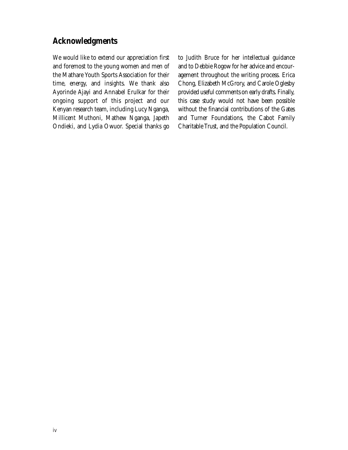## **Acknowledgments**

We would like to extend our appreciation first and foremost to the young women and men of the Mathare Youth Sports Association for their time, energy, and insights. We thank also Ayorinde Ajayi and Annabel Erulkar for their ongoing support of this project and our Kenyan research team, including Lucy Nganga, Millicent Muthoni, Mathew Nganga, Japeth Ondieki, and Lydia Owuor. Special thanks go to Judith Bruce for her intellectual guidance and to Debbie Rogow for her advice and encouragement throughout the writing process. Erica Chong, Elizabeth McGrory, and Carole Oglesby provided useful comments on early drafts. Finally, this case study would not have been possible without the financial contributions of the Gates and Turner Foundations, the Cabot Family Charitable Trust, and the Population Council.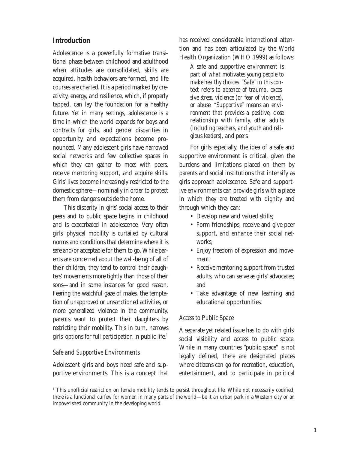#### **Introduction**

Adolescence is a powerfully formative transitional phase between childhood and adulthood when attitudes are consolidated, skills are acquired, health behaviors are formed, and life courses are charted. It is a period marked by creativity, energy, and resilience, which, if properly tapped, can lay the foundation for a healthy future. Yet in many settings, adolescence is a time in which the world expands for boys and contracts for girls, and gender disparities in opportunity and expectations become pronounced. Many adolescent girls have narrowed social networks and few collective spaces in which they can gather to meet with peers, receive mentoring support, and acquire skills. Girls' lives become increasingly restricted to the domestic sphere—nominally in order to protect them from dangers outside the home.

This disparity in girls' social access to their peers and to public space begins in childhood and is exacerbated in adolescence. Very often girls' physical mobility is curtailed by cultural norms and conditions that determine where it is safe and/or acceptable for them to go. While parents are concerned about the well-being of all of their children, they tend to control their daughters' movements more tightly than those of their sons—and in some instances for good reason. Fearing the watchful gaze of males, the temptation of unapproved or unsanctioned activities, or more generalized violence in the community, parents want to protect their daughters by restricting their mobility. This in turn, narrows girls' options for full participation in public life.1

#### *Safe and Supportive Environments*

Adolescent girls and boys need safe and supportive environments. This is a concept that has received considerable international attention and has been articulated by the World Health Organization (WHO 1999) as follows:

*A safe and supportive environment is part of what motivates young people to make healthy choices. "Safe" in this context refers to absence of trauma, excessive stress, violence (or fear of violence), or abuse. "Supportive" means an environment that provides a positive, close relationship with family, other adults (including teachers, and youth and religious leaders), and peers.*

For girls especially, the idea of a safe and supportive environment is critical, given the burdens and limitations placed on them by parents and social institutions that intensify as girls approach adolescence. Safe and supportive environments can provide girls with a place in which they are treated with dignity and through which they can:

- Develop new and valued skills;
- Form friendships, receive and give peer support, and enhance their social networks;
- Enjoy freedom of expression and movement;
- Receive mentoring support from trusted adults, who can serve as girls' advocates; and
- Take advantage of new learning and educational opportunities.

#### *Access to Public Space*

A separate yet related issue has to do with girls' social visibility and access to public space. While in many countries "public space" is not legally defined, there are designated places where citizens can go for recreation, education, entertainment, and to participate in political

<sup>&</sup>lt;sup>1</sup> This unofficial restriction on female mobility tends to persist throughout life. While not necessarily codified, there is a functional curfew for women in many parts of the world—be it an urban park in a Western city or an impoverished community in the developing world.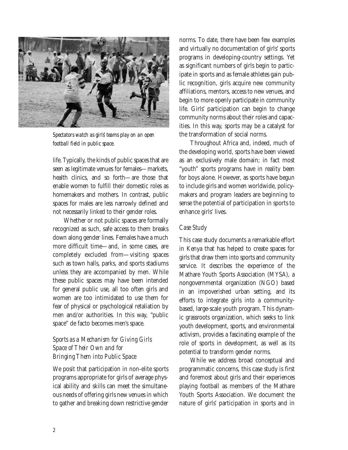

*Spectators watch as girls' teams play on an open football field in public space.*

life. Typically, the kinds of public spaces that are seen as legitimate venues for females—markets, health clinics, and so forth—are those that enable women to fulfill their domestic roles as homemakers and mothers. In contrast, public spaces for males are less narrowly defined and not necessarily linked to their gender roles.

Whether or not public spaces are formally recognized as such, safe access to them breaks down along gender lines. Females have a much more difficult time—and, in some cases, are completely excluded from—visiting spaces such as town halls, parks, and sports stadiums unless they are accompanied by men. While these public spaces may have been intended for general public use, all too often girls and women are too intimidated to use them for fear of physical or psychological retaliation by men and/or authorities. In this way, "public space" de facto becomes men's space.

#### *Sports as a Mechanism for Giving Girls Space of Their Own and for Bringing Them into Public Space*

We posit that participation in non-elite sports programs appropriate for girls of average physical ability and skills can meet the simultaneous needs of offering girls new venues in which to gather and breaking down restrictive gender norms. To date, there have been few examples and virtually no documentation of girls' sports programs in developing-country settings. Yet as significant numbers of girls begin to participate in sports and as female athletes gain public recognition, girls acquire new community affiliations, mentors, access to new venues, and begin to more openly participate in community life. Girls' participation can begin to change community norms about their roles and capacities. In this way, sports may be a catalyst for the transformation of social norms.

Throughout Africa and, indeed, much of the developing world, sports have been viewed as an exclusively male domain; in fact most "youth" sports programs have in reality been for boys alone. However, as sports have begun to include girls and women worldwide, policymakers and program leaders are beginning to sense the potential of participation in sports to enhance girls' lives.

#### *Case Study*

This case study documents a remarkable effort in Kenya that has helped to create spaces for girls that draw them into sports and community service. It describes the experience of the Mathare Youth Sports Association (MYSA), a nongovernmental organization (NGO) based in an impoverished urban setting, and its efforts to integrate girls into a communitybased, large-scale youth program. This dynamic grassroots organization, which seeks to link youth development, sports, and environmental activism, provides a fascinating example of the role of sports in development, as well as its potential to transform gender norms.

While we address broad conceptual and programmatic concerns, this case study is first and foremost about girls and their experiences playing football as members of the Mathare Youth Sports Association. We document the nature of girls' participation in sports and in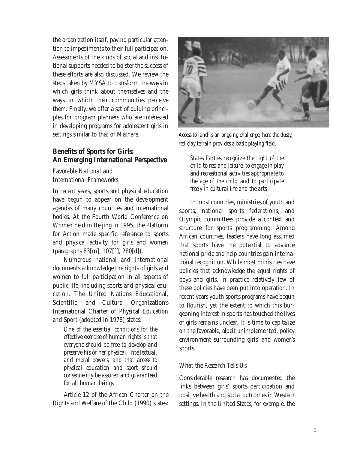the organization itself, paying particular attention to impediments to their full participation. Assessments of the kinds of social and institutional supports needed to bolster the success of these efforts are also discussed. We review the steps taken by MYSA to transform the ways in which girls think about themselves and the ways in which their communities perceive them. Finally, we offer a set of guiding principles for program planners who are interested in developing programs for adolescent girls in settings similar to that of Mathare.

#### **Benefits of Sports for Girls: An Emerging International Perspective**

#### *Favorable National and International Frameworks*

In recent years, sports and physical education have begun to appear on the development agendas of many countries and international bodies. At the Fourth World Conference on Women held in Beijing in 1995, the Platform for Action made specific reference to sports and physical activity for girls and women (paragraphs 83[m], 107[f], 280[d]).

Numerous national and international documents acknowledge the rights of girls and women to full participation in all aspects of public life, including sports and physical education. The United Nations Educational, Scientific, and Cultural Organization's International Charter of Physical Education and Sport (adopted in 1978) states:

*One of the essential conditions for the effective exercise of human rights is that everyone should be free to develop and preserve his or her physical, intellectual, and moral powers, and that access to physical education and sport should consequently be assured and guaranteed for all human beings.*

Article 12 of the African Charter on the Rights and Welfare of the Child (1990) states:



*Access to land is an ongoing challenge; here the dusty, red-clay terrain provides a basic playing field.*

*States Parties recognize the right of the child to rest and leisure, to engage in play and recreational activities appropriate to the age of the child and to participate freely in cultural life and the arts.*

In most countries, ministries of youth and sports, national sports federations, and Olympic committees provide a context and structure for sports programming. Among African countries, leaders have long assumed that sports have the potential to advance national pride and help countries gain international recognition. While most ministries have policies that acknowledge the equal rights of boys and girls, in practice relatively few of these policies have been put into operation. In recent years youth sports programs have begun to flourish, yet the extent to which this burgeoning interest in sports has touched the lives of girls remains unclear. It is time to capitalize on the favorable, albeit unimplemented, policy environment surrounding girls' and women's sports.

#### *What the Research Tells Us*

Considerable research has documented the links between girls' sports participation and positive health and social outcomes in Western settings. In the United States, for example, the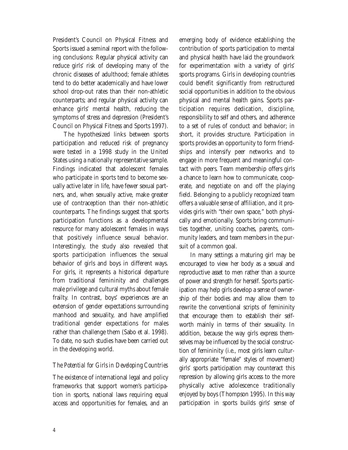President's Council on Physical Fitness and Sports issued a seminal report with the following conclusions: Regular physical activity can reduce girls' risk of developing many of the chronic diseases of adulthood; female athletes tend to do better academically and have lower school drop-out rates than their non-athletic counterparts; and regular physical activity can enhance girls' mental health, reducing the symptoms of stress and depression (President's Council on Physical Fitness and Sports 1997).

The hypothesized links between sports participation and reduced risk of pregnancy were tested in a 1998 study in the United States using a nationally representative sample. Findings indicated that adolescent females who participate in sports tend to become sexually active later in life, have fewer sexual partners, and, when sexually active, make greater use of contraception than their non-athletic counterparts. The findings suggest that sports participation functions as a developmental resource for many adolescent females in ways that positively influence sexual behavior. Interestingly, the study also revealed that sports participation influences the sexual behavior of girls and boys in different ways. For girls, it represents a historical departure from traditional femininity and challenges male privilege and cultural myths about female frailty. In contrast, boys' experiences are an extension of gender expectations surrounding manhood and sexuality, and have amplified traditional gender expectations for males rather than challenge them (Sabo et al. 1998). To date, no such studies have been carried out in the developing world.

#### *The Potential for Girls in Developing Countries*

The existence of international legal and policy frameworks that support women's participation in sports, national laws requiring equal access and opportunities for females, and an emerging body of evidence establishing the contribution of sports participation to mental and physical health have laid the groundwork for experimentation with a variety of girls' sports programs. Girls in developing countries could benefit significantly from restructured social opportunities in addition to the obvious physical and mental health gains. Sports participation requires dedication, discipline, responsibility to self and others, and adherence to a set of rules of conduct and behavior; in short, it provides structure. Participation in sports provides an opportunity to form friendships and intensify peer networks and to engage in more frequent and meaningful contact with peers. Team membership offers girls a chance to learn how to communicate, cooperate, and negotiate on and off the playing field. Belonging to a publicly recognized team offers a valuable sense of affiliation, and it provides girls with "their own space," both physically and emotionally. Sports bring communities together, uniting coaches, parents, community leaders, and team members in the pursuit of a common goal.

In many settings a maturing girl may be encouraged to view her body as a sexual and reproductive asset to men rather than a source of power and strength for herself. Sports participation may help girls develop a sense of ownership of their bodies and may allow them to rewrite the conventional scripts of femininity that encourage them to establish their selfworth mainly in terms of their sexuality. In addition, because the way girls express themselves may be influenced by the social construction of femininity (i.e., most girls learn culturally appropriate "female" styles of movement) girls' sports participation may counteract this repression by allowing girls access to the more physically active adolescence traditionally enjoyed by boys (Thompson 1995). In this way participation in sports builds girls' sense of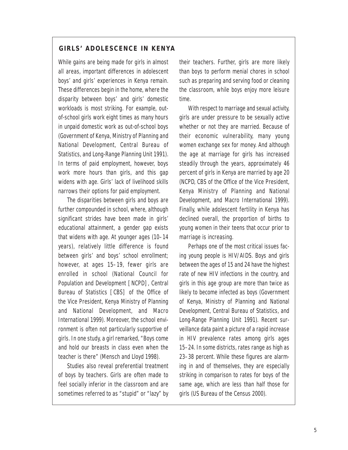#### **GIRLS' ADOLESCENCE IN KENYA**

While gains are being made for girls in almost all areas, important differences in adolescent boys' and girls' experiences in Kenya remain. These differences begin in the home, where the disparity between boys' and girls' domestic workloads is most striking. For example, outof-school girls work eight times as many hours in unpaid domestic work as out-of-school boys (Government of Kenya, Ministry of Planning and National Development, Central Bureau of Statistics, and Long-Range Planning Unit 1991). In terms of paid employment, however, boys work more hours than girls, and this gap widens with age. Girls' lack of livelihood skills narrows their options for paid employment.

The disparities between girls and boys are further compounded in school, where, although significant strides have been made in girls' educational attainment, a gender gap exists that widens with age. At younger ages (10–14 years), relatively little difference is found between girls' and boys' school enrollment; however, at ages 15–19, fewer girls are enrolled in school (National Council for Population and Development [NCPD], Central Bureau of Statistics [CBS] of the Office of the Vice President, Kenya Ministry of Planning and National Development, and Macro International 1999). Moreover, the school environment is often not particularly supportive of girls. In one study, a girl remarked, "Boys come and hold our breasts in class even when the teacher is there" (Mensch and Lloyd 1998).

Studies also reveal preferential treatment of boys by teachers. Girls are often made to feel socially inferior in the classroom and are sometimes referred to as "stupid" or "lazy" by their teachers. Further, girls are more likely than boys to perform menial chores in school such as preparing and serving food or cleaning the classroom, while boys enjoy more leisure time.

With respect to marriage and sexual activity, girls are under pressure to be sexually active whether or not they are married. Because of their economic vulnerability, many young women exchange sex for money. And although the age at marriage for girls has increased steadily through the years, approximately 46 percent of girls in Kenya are married by age 20 (NCPD, CBS of the Office of the Vice President, Kenya Ministry of Planning and National Development, and Macro International 1999). Finally, while adolescent fertility in Kenya has declined overall, the proportion of births to young women in their teens that occur prior to marriage is increasing.

Perhaps one of the most critical issues facing young people is HIV/AIDS. Boys and girls between the ages of 15 and 24 have the highest rate of new HIV infections in the country, and girls in this age group are more than twice as likely to become infected as boys (Government of Kenya, Ministry of Planning and National Development, Central Bureau of Statistics, and Long-Range Planning Unit 1991). Recent surveillance data paint a picture of a rapid increase in HIV prevalence rates among girls ages 15–24. In some districts, rates range as high as 23–38 percent. While these figures are alarming in and of themselves, they are especially striking in comparison to rates for boys of the same age, which are less than half those for girls (US Bureau of the Census 2000).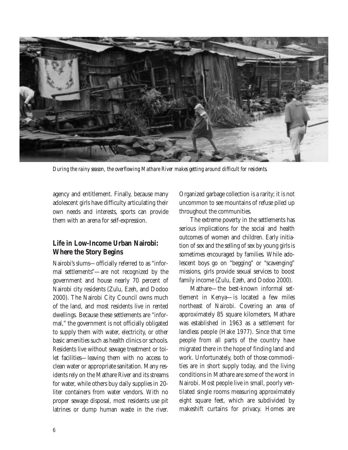

*During the rainy season, the overflowing Mathare River makes getting around difficult for residents.*

agency and entitlement. Finally, because many adolescent girls have difficulty articulating their own needs and interests, sports can provide them with an arena for self-expression.

#### **Life in Low-Income Urban Nairobi: Where the Story Begins**

Nairobi's slums—officially referred to as "informal settlements"—are not recognized by the government and house nearly 70 percent of Nairobi city residents (Zulu, Ezeh, and Dodoo 2000). The Nairobi City Council owns much of the land, and most residents live in rented dwellings. Because these settlements are "informal," the government is not officially obligated to supply them with water, electricity, or other basic amenities such as health clinics or schools. Residents live without sewage treatment or toilet facilities—leaving them with no access to clean water or appropriate sanitation. Many residents rely on the Mathare River and its streams for water, while others buy daily supplies in 20 liter containers from water vendors. With no proper sewage disposal, most residents use pit latrines or dump human waste in the river. Organized garbage collection is a rarity; it is not uncommon to see mountains of refuse piled up throughout the communities.

The extreme poverty in the settlements has serious implications for the social and health outcomes of women and children. Early initiation of sex and the selling of sex by young girls is sometimes encouraged by families. While adolescent boys go on "begging" or "scavenging" missions, girls provide sexual services to boost family income (Zulu, Ezeh, and Dodoo 2000).

Mathare—the best-known informal settlement in Kenya—is located a few miles northeast of Nairobi. Covering an area of approximately 85 square kilometers, Mathare was established in 1963 as a settlement for landless people (Hake 1977). Since that time people from all parts of the country have migrated there in the hope of finding land and work. Unfortunately, both of those commodities are in short supply today, and the living conditions in Mathare are some of the worst in Nairobi. Most people live in small, poorly ventilated single rooms measuring approximately eight square feet, which are subdivided by makeshift curtains for privacy. Homes are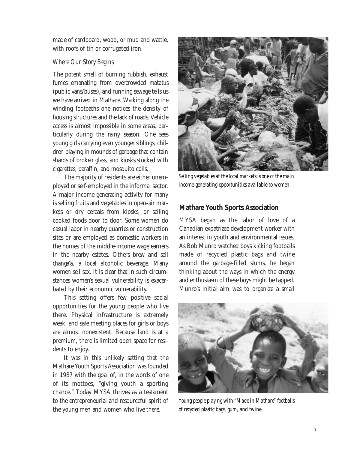made of cardboard, wood, or mud and wattle, with roofs of tin or corrugated iron.

#### *Where Our Story Begins*

The potent smell of burning rubbish, exhaust fumes emanating from overcrowded *matatus* (public vans/buses)*,* and running sewage tells us we have arrived in Mathare. Walking along the winding footpaths one notices the density of housing structures and the lack of roads. Vehicle access is almost impossible in some areas, particularly during the rainy season. One sees young girls carrying even younger siblings, children playing in mounds of garbage that contain shards of broken glass, and kiosks stocked with cigarettes, paraffin, and mosquito coils.

The majority of residents are either unemployed or self-employed in the informal sector. A major income-generating activity for many is selling fruits and vegetables in open-air markets or dry cereals from kiosks, or selling cooked foods door to door. Some women do casual labor in nearby quarries or construction sites or are employed as domestic workers in the homes of the middle-income wage earners in the nearby estates. Others brew and sell *changa'a,* a local alcoholic beverage. Many women sell sex. It is clear that in such circumstances women's sexual vulnerability is exacerbated by their economic vulnerability.

This setting offers few positive social opportunities for the young people who live there. Physical infrastructure is extremely weak, and safe meeting places for girls or boys are almost nonexistent. Because land is at a premium, there is limited open space for residents to enjoy.

It was in this unlikely setting that the Mathare Youth Sports Association was founded in 1987 with the goal of, in the words of one of its mottoes, "giving youth a sporting chance." Today MYSA thrives as a testament to the entrepreneurial and resourceful spirit of the young men and women who live there.



*Selling vegetables at the local markets is one of the main income-generating opportunities available to women.*

#### **Mathare Youth Sports Association**

MYSA began as the labor of love of a Canadian expatriate development worker with an interest in youth and environmental issues. As Bob Munro watched boys kicking footballs made of recycled plastic bags and twine around the garbage-filled slums, he began thinking about the ways in which the energy and enthusiasm of these boys might be tapped. Munro's initial aim was to organize a small



*Young people playing with "Made in Mathare" footballs of recycled plastic bags, gum, and twine.*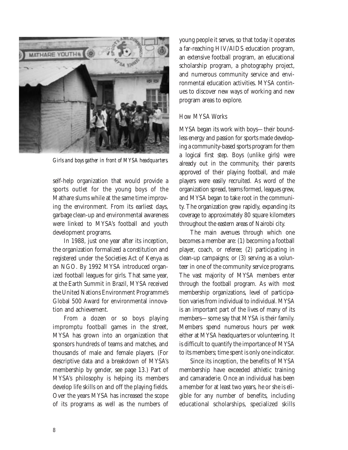

*Girls and boys gather in front of MYSA headquarters.*

self-help organization that would provide a sports outlet for the young boys of the Mathare slums while at the same time improving the environment. From its earliest days, garbage clean-up and environmental awareness were linked to MYSA's football and youth development programs.

In 1988, just one year after its inception, the organization formalized a constitution and registered under the Societies Act of Kenya as an NGO. By 1992 MYSA introduced organized football leagues for girls. That same year, at the Earth Summit in Brazil, MYSA received the United Nations Environment Programme's Global 500 Award for environmental innovation and achievement.

From a dozen or so boys playing impromptu football games in the street, MYSA has grown into an organization that sponsors hundreds of teams and matches, and thousands of male and female players. (For descriptive data and a breakdown of MYSA's membership by gender, see page 13.) Part of MYSA's philosophy is helping its members develop life skills on and off the playing fields. Over the years MYSA has increased the scope of its programs as well as the numbers of young people it serves, so that today it operates a far-reaching HIV/AIDS education program, an extensive football program, an educational scholarship program, a photography project, and numerous community service and environmental education activities. MYSA continues to discover new ways of working and new program areas to explore.

#### *How MYSA Works*

MYSA began its work with boys—their boundless energy and passion for sports made developing a community-based sports program for them a logical first step. Boys (unlike girls) were already out in the community, their parents approved of their playing football, and male players were easily recruited. As word of the organization spread, teams formed, leagues grew, and MYSA began to take root in the community. The organization grew rapidly, expanding its coverage to approximately 80 square kilometers throughout the eastern areas of Nairobi city.

The main avenues through which one becomes a member are: (1) becoming a football player, coach, or referee; (2) participating in clean-up campaigns; or (3) serving as a volunteer in one of the community service programs. The vast majority of MYSA members enter through the football program. As with most membership organizations, level of participation varies from individual to individual. MYSA is an important part of the lives of many of its members—some say that MYSA is their family. Members spend numerous hours per week either at MYSA headquarters or volunteering. It is difficult to quantify the importance of MYSA to its members; time spent is only one indicator.

Since its inception, the benefits of MYSA membership have exceeded athletic training and camaraderie. Once an individual has been a member for at least two years, he or she is eligible for any number of benefits, including educational scholarships, specialized skills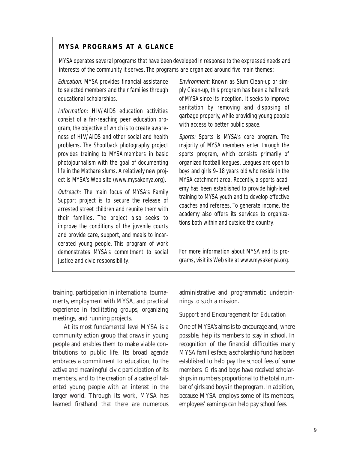#### **MYSA PROGRAMS AT A GLANCE**

MYSA operates several programs that have been developed in response to the expressed needs and interests of the community it serves. The programs are organized around five main themes:

Education: MYSA provides financial assistance to selected members and their families through educational scholarships.

Information: HIV/AIDS education activities consist of a far-reaching peer education program, the objective of which is to create awareness of HIV/AIDS and other social and health problems. The Shootback photography project provides training to MYSA members in basic photojournalism with the goal of documenting life in the Mathare slums. A relatively new project is MYSA's Web site (www.mysakenya.org).

Outreach: The main focus of MYSA's Family Support project is to secure the release of arrested street children and reunite them with their families. The project also seeks to improve the conditions of the juvenile courts and provide care, support, and meals to incarcerated young people. This program of work demonstrates MYSA's commitment to social justice and civic responsibility.

Environment: Known as Slum Clean-up or simply Clean-up, this program has been a hallmark of MYSA since its inception. It seeks to improve sanitation by removing and disposing of garbage properly, while providing young people with access to better public space.

Sports: Sports is MYSA's core program. The majority of MYSA members enter through the sports program, which consists primarily of organized football leagues. Leagues are open to boys and girls 9–18 years old who reside in the MYSA catchment area. Recently, a sports academy has been established to provide high-level training to MYSA youth and to develop effective coaches and referees. To generate income, the academy also offers its services to organizations both within and outside the country.

For more information about MYSA and its programs, visit its Web site at www.mysakenya.org.

training, participation in international tournaments, employment with MYSA, and practical experience in facilitating groups, organizing meetings, and running projects.

At its most fundamental level MYSA is a community action group that draws in young people and enables them to make viable contributions to public life. Its broad agenda embraces a commitment to education, to the active and meaningful civic participation of its members, and to the creation of a cadre of talented young people with an interest in the larger world. Through its work, MYSA has learned firsthand that there are numerous administrative and programmatic underpinnings to such a mission.

#### *Support and Encouragement for Education*

One of MYSA's aims is to encourage and, where possible, help its members to stay in school. In recognition of the financial difficulties many MYSA families face, a scholarship fund has been established to help pay the school fees of some members. Girls and boys have received scholarships in numbers proportional to the total number of girls and boys in the program. In addition, because MYSA employs some of its members, employees' earnings can help pay school fees.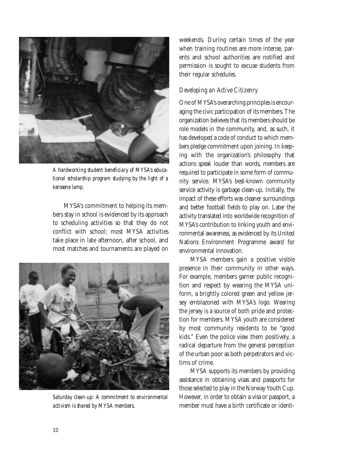

*A hardworking student beneficiary of MYSA's educational scholarship program studying by the light of a kerosene lamp.*

MYSA's commitment to helping its members stay in school is evidenced by its approach to scheduling activities so that they do not conflict with school; most MYSA activities take place in late afternoon, after school, and most matches and tournaments are played on



*Saturday clean-up: A commitment to environmental activism is shared by MYSA members.*

weekends. During certain times of the year when training routines are more intense, parents and school authorities are notified and permission is sought to excuse students from their regular schedules.

#### *Developing an Active Citizenry*

One of MYSA's overarching principles is encouraging the civic participation of its members. The organization believes that its members should be role models in the community, and, as such, it has developed a code of conduct to which members pledge commitment upon joining. In keeping with the organization's philosophy that actions speak louder than words, members are required to participate in some form of community service. MYSA's best-known community service activity is garbage clean-up. Initially, the impact of these efforts was cleaner surroundings and better football fields to play on. Later the activity translated into worldwide recognition of MYSA's contribution to linking youth and environmental awareness, as evidenced by its United Nations Environment Programme award for environmental innovation.

MYSA members gain a positive visible presence in their community in other ways. For example, members garner public recognition and respect by wearing the MYSA uniform, a brightly colored green and yellow jersey emblazoned with MYSA's logo. Wearing the jersey is a source of both pride and protection for members. MYSA youth are considered by most community residents to be "good kids." Even the police view them positively, a radical departure from the general perception of the urban poor as both perpetrators and victims of crime.

MYSA supports its members by providing assistance in obtaining visas and passports for those selected to play in the Norway Youth Cup. However, in order to obtain a visa or passport, a member must have a birth certificate or identi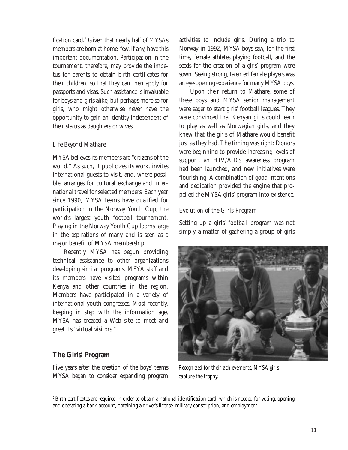fication card.<sup>2</sup> Given that nearly half of MYSA's members are born at home, few, if any, have this important documentation. Participation in the tournament, therefore, may provide the impetus for parents to obtain birth certificates for their children, so that they can then apply for passports and visas. Such assistance is invaluable for boys and girls alike, but perhaps more so for girls, who might otherwise never have the opportunity to gain an identity independent of their status as daughters or wives.

#### *Life Beyond Mathare*

MYSA believes its members are "citizens of the world." As such, it publicizes its work, invites international guests to visit, and, where possible, arranges for cultural exchange and international travel for selected members. Each year since 1990, MYSA teams have qualified for participation in the Norway Youth Cup, the world's largest youth football tournament. Playing in the Norway Youth Cup looms large in the aspirations of many and is seen as a major benefit of MYSA membership.

Recently MYSA has begun providing technical assistance to other organizations developing similar programs. MSYA staff and its members have visited programs within Kenya and other countries in the region. Members have participated in a variety of international youth congresses. Most recently, keeping in step with the information age, MYSA has created a Web site to meet and greet its "virtual visitors."

#### **The Girls' Program**

Five years after the creation of the boys' teams MYSA began to consider expanding program activities to include girls. During a trip to Norway in 1992, MYSA boys saw, for the first time, female athletes playing football, and the seeds for the creation of a girls' program were sown. Seeing strong, talented female players was an eye-opening experience for many MYSA boys.

Upon their return to Mathare, some of these boys and MYSA senior management were eager to start girls' football leagues. They were convinced that Kenyan girls could learn to play as well as Norwegian girls, and they knew that the girls of Mathare would benefit just as they had. The timing was right: Donors were beginning to provide increasing levels of support, an HIV/AIDS awareness program had been launched, and new initiatives were flourishing. A combination of good intentions and dedication provided the engine that propelled the MYSA girls' program into existence.

#### *Evolution of the Girls' Program*

Setting up a girls' football program was not simply a matter of gathering a group of girls



*Recognized for their achievements, MYSA girls capture the trophy.*

<sup>2</sup> Birth certificates are required in order to obtain a national identification card, which is needed for voting, opening and operating a bank account, obtaining a driver's license, military conscription, and employment.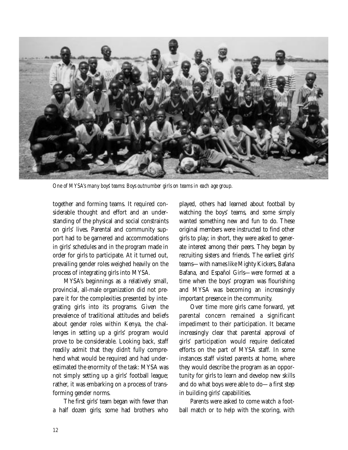

*One of MYSA's many boys' teams: Boys outnumber girls on teams in each age group.*

together and forming teams. It required considerable thought and effort and an understanding of the physical and social constraints on girls' lives. Parental and community support had to be garnered and accommodations in girls' schedules and in the program made in order for girls to participate. At it turned out, prevailing gender roles weighed heavily on the process of integrating girls into MYSA.

MYSA's beginnings as a relatively small, provincial, all-male organization did not prepare it for the complexities presented by integrating girls into its programs. Given the prevalence of traditional attitudes and beliefs about gender roles within Kenya, the challenges in setting up a girls' program would prove to be considerable. Looking back, staff readily admit that they didn't fully comprehend what would be required and had underestimated the enormity of the task: MYSA was not simply setting up a girls' football league; rather, it was embarking on a process of transforming gender norms.

The first girls' team began with fewer than a half dozen girls; some had brothers who played, others had learned about football by watching the boys' teams, and some simply wanted something new and fun to do. These original members were instructed to find other girls to play; in short, they were asked to generate interest among their peers. They began by recruiting sisters and friends. The earliest girls' teams—with names like Mighty Kickers, Bafana Bafana, and Español Girls—were formed at a time when the boys' program was flourishing and MYSA was becoming an increasingly important presence in the community.

Over time more girls came forward, yet parental concern remained a significant impediment to their participation. It became increasingly clear that parental approval of girls' participation would require dedicated efforts on the part of MYSA staff. In some instances staff visited parents at home, where they would describe the program as an opportunity for girls to learn and develop new skills and do what boys were able to do—a first step in building girls' capabilities.

Parents were asked to come watch a football match or to help with the scoring, with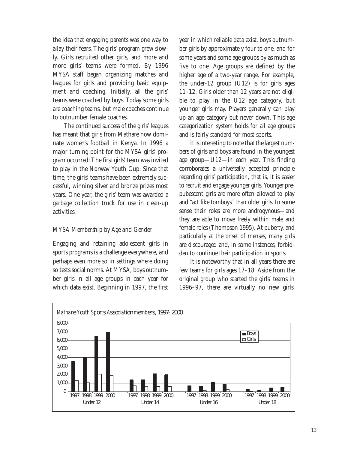the idea that engaging parents was one way to allay their fears. The girls' program grew slowly. Girls recruited other girls, and more and more girls' teams were formed. By 1996 MYSA staff began organizing matches and leagues for girls and providing basic equipment and coaching. Initially, all the girls' teams were coached by boys. Today some girls are coaching teams, but male coaches continue to outnumber female coaches.

The continued success of the girls' leagues has meant that girls from Mathare now dominate women's football in Kenya. In 1996 a major turning point for the MYSA girls' program occurred: The first girls' team was invited to play in the Norway Youth Cup. Since that time, the girls' teams have been extremely successful, winning silver and bronze prizes most years. One year, the girls' team was awarded a garbage collection truck for use in clean-up activities.

#### *MYSA Membership by Age and Gender*

Engaging and retaining adolescent girls in sports programs is a challenge everywhere, and perhaps even more so in settings where doing so tests social norms. At MYSA, boys outnumber girls in all age groups in each year for which data exist. Beginning in 1997, the first

year in which reliable data exist, boys outnumber girls by approximately four to one, and for some years and some age groups by as much as five to one. Age groups are defined by the higher age of a two-year range. For example, the under-12 group (U12) is for girls ages 11–12. Girls older than 12 years are not eligible to play in the U12 age category, but younger girls may. Players generally can play up an age category but never down. This age categorization system holds for all age groups and is fairly standard for most sports.

It is interesting to note that the largest numbers of girls and boys are found in the youngest age group—U12—in each year. This finding corroborates a universally accepted principle regarding girls' participation, that is, it is easier to recruit and engage younger girls. Younger prepubescent girls are more often allowed to play and "act like tomboys" than older girls. In some sense their roles are more androgynous—and they are able to move freely within male and female roles (Thompson 1995). At puberty, and particularly at the onset of menses, many girls are discouraged and, in some instances, forbidden to continue their participation in sports.

It is noteworthy that in all years there are few teams for girls ages 17–18. Aside from the original group who started the girls' teams in 1996–97, there are virtually no new girls'

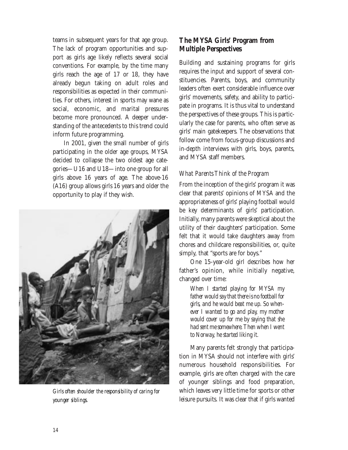teams in subsequent years for that age group. The lack of program opportunities and support as girls age likely reflects several social conventions. For example, by the time many girls reach the age of 17 or 18, they have already begun taking on adult roles and responsibilities as expected in their communities. For others, interest in sports may wane as social, economic, and marital pressures become more pronounced. A deeper understanding of the antecedents to this trend could inform future programming.

In 2001, given the small number of girls participating in the older age groups, MYSA decided to collapse the two oldest age categories—U16 and U18—into one group for all girls above 16 years of age. The above-16 (A16) group allows girls 16 years and older the opportunity to play if they wish.



*Girls often shoulder the responsibility of caring for younger siblings.*

#### **The MYSA Girls' Program from Multiple Perspectives**

Building and sustaining programs for girls requires the input and support of several constituencies. Parents, boys, and community leaders often exert considerable influence over girls' movements, safety, and ability to participate in programs. It is thus vital to understand the perspectives of these groups. This is particularly the case for parents, who often serve as girls' main gatekeepers. The observations that follow come from focus-group discussions and in-depth interviews with girls, boys, parents, and MYSA staff members.

#### *What Parents Think of the Program*

From the inception of the girls' program it was clear that parents' opinions of MYSA and the appropriateness of girls' playing football would be key determinants of girls' participation. Initially, many parents were skeptical about the utility of their daughters' participation. Some felt that it would take daughters away from chores and childcare responsibilities, or, quite simply, that "sports are for boys."

One 15-year-old girl describes how her father's opinion, while initially negative, changed over time:

*When I started playing for MYSA my father would say that there is no football for girls, and he would beat me up. So whenever I wanted to go and play, my mother would cover up for me by saying that she had sent me somewhere. Then when I went to Norway, he started liking it.* 

Many parents felt strongly that participation in MYSA should not interfere with girls' numerous household responsibilities. For example, girls are often charged with the care of younger siblings and food preparation, which leaves very little time for sports or other leisure pursuits. It was clear that if girls wanted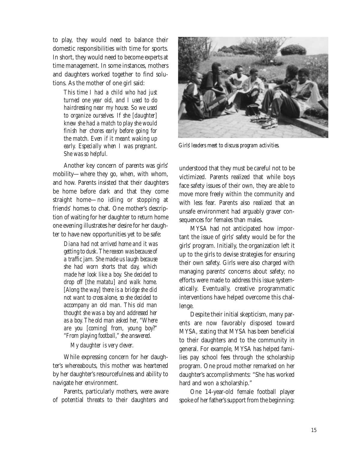to play, they would need to balance their domestic responsibilities with time for sports. In short, they would need to become experts at time management. In some instances, mothers and daughters worked together to find solutions. As the mother of one girl said:

*This time I had a child who had just turned one year old, and I used to do hairdressing near my house. So we used to organize ourselves. If she [daughter] knew she had a match to play she would finish her chores early before going for the match. Even if it meant waking up early. Especially when I was pregnant. She was so helpful.*

Another key concern of parents was girls' mobility—where they go, when, with whom, and how. Parents insisted that their daughters be home before dark and that they come straight home—no idling or stopping at friends' homes to chat. One mother's description of waiting for her daughter to return home one evening illustrates her desire for her daughter to have new opportunities yet to be safe:

*Diana had not arrived home and it was getting to dusk. The reason was because of a traffic jam. She made us laugh because she had worn shorts that day, which made her look like a boy. She decided to drop off [the matatu] and walk home. [Along the way] there is a bridge she did not want to cross alone, so she decided to accompany an old man. This old man thought she was a boy and addressed her as a boy. The old man asked her, "Where are you [coming] from, young boy?" "From playing football," she answered.*

#### *My daughter is very clever.*

While expressing concern for her daughter's whereabouts, this mother was heartened by her daughter's resourcefulness and ability to navigate her environment.

Parents, particularly mothers, were aware of potential threats to their daughters and



*Girls' leaders meet to discuss program activities.*

understood that they must be careful not to be victimized. Parents realized that while boys face safety issues of their own, they are able to move more freely within the community and with less fear. Parents also realized that an unsafe environment had arguably graver consequences for females than males.

MYSA had not anticipated how important the issue of girls' safety would be for the girls' program. Initially, the organization left it up to the girls to devise strategies for ensuring their own safety. Girls were also charged with managing parents' concerns about safety; no efforts were made to address this issue systematically. Eventually, creative programmatic interventions have helped overcome this challenge.

Despite their initial skepticism, many parents are now favorably disposed toward MYSA, stating that MYSA has been beneficial to their daughters and to the community in general. For example, MYSA has helped families pay school fees through the scholarship program. One proud mother remarked on her daughter's accomplishments: "She has worked hard and won a scholarship."

One 14-year-old female football player spoke of her father's support from the beginning: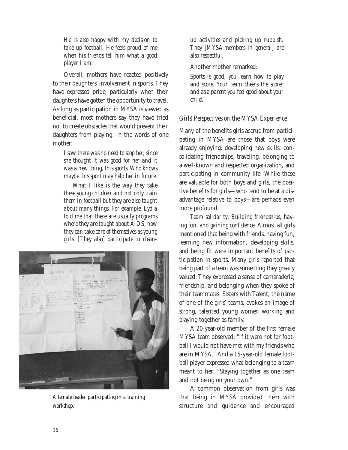*He is also happy with my decision to take up football. He feels proud of me when his friends tell him what a good player I am.*

Overall, mothers have reacted positively to their daughters' involvement in sports. They have expressed pride, particularly when their daughters have gotten the opportunity to travel. As long as participation in MYSA is viewed as beneficial, most mothers say they have tried not to create obstacles that would prevent their daughters from playing. In the words of one mother:

*I saw there was no need to stop her, since she thought it was good for her and it was a new thing, this sports. Who knows maybe this sport may help her in future.*

*What I like is the way they take these young children and not only train them in football but they are also taught about many things. For example, Lydia told me that there are usually programs where they are taught about AIDS, how they can take care of themselves as young girls. [They also] participate in clean-*



*A female leader participating in a training workshop.*

*up activities and picking up rubbish. They [MYSA members in general] are also respectful.*

Another mother remarked:

*Sports is good, you learn how to play and score. Your team cheers the scorer and as a parent you feel good about your child.*

#### *Girls' Perspectives on the MYSA Experience*

Many of the benefits girls accrue from participating in MYSA are those that boys were already enjoying: developing new skills, consolidating friendships, traveling, belonging to a well-known and respected organization, and participating in community life. While these are valuable for both boys and girls, the positive benefits for girls—who tend to be at a disadvantage relative to boys—are perhaps even more profound.

*Team solidarity: Building friendships, having fun, and gaining confidence.* Almost all girls mentioned that being with friends, having fun, learning new information, developing skills, and being fit were important benefits of participation in sports. Many girls reported that being part of a team was something they greatly valued. They expressed a sense of camaraderie, friendship, and belonging when they spoke of their teammates. Sisters with Talent, the name of one of the girls' teams, evokes an image of strong, talented young women working and playing together as family.

A 20-year-old member of the first female MYSA team observed: "If it were not for football I would not have met with my friends who are in MYSA." And a 15-year-old female football player expressed what belonging to a team meant to her: "Staying together as one team and not being on your own."

A common observation from girls was that being in MYSA provided them with structure and guidance and encouraged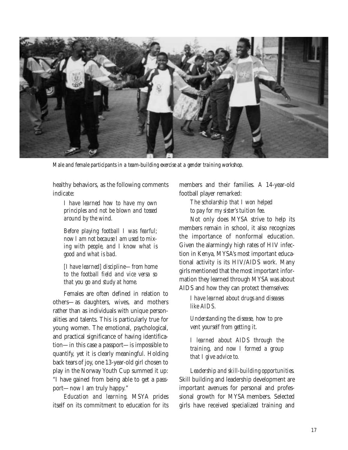

*Male and female participants in a team-building exercise at a gender training workshop.*

healthy behaviors, as the following comments indicate:

*I have learned how to have my own principles and not be blown and tossed around by the wind.*

*Before playing football I was fearful; now I am not because I am used to mixing with people, and I know what is good and what is bad.*

*[I have learned] discipline—from home to the football field and vice versa so that you go and study at home.*

Females are often defined in relation to others—as daughters, wives, and mothers rather than as individuals with unique personalities and talents. This is particularly true for young women. The emotional, psychological, and practical significance of having identification—in this case a passport—is impossible to quantify, yet it is clearly meaningful. Holding back tears of joy, one 13-year-old girl chosen to play in the Norway Youth Cup summed it up: "I have gained from being able to get a passport—now I am truly happy."

*Education and learning.* MSYA prides itself on its commitment to education for its members and their families. A 14-year-old football player remarked:

> *The scholarship that I won helped to pay for my sister's tuition fee.*

Not only does MYSA strive to help its members remain in school, it also recognizes the importance of nonformal education. Given the alarmingly high rates of HIV infection in Kenya, MYSA's most important educational activity is its HIV/AIDS work. Many girls mentioned that the most important information they learned through MYSA was about AIDS and how they can protect themselves:

*I have learned about drugs and diseases like AIDS.*

*Understanding the disease, how to prevent yourself from getting it.*

*I learned about AIDS through the training, and now I formed a group that I give advice to.*

*Leadership and skill-building opportunities.* Skill building and leadership development are important avenues for personal and professional growth for MYSA members. Selected girls have received specialized training and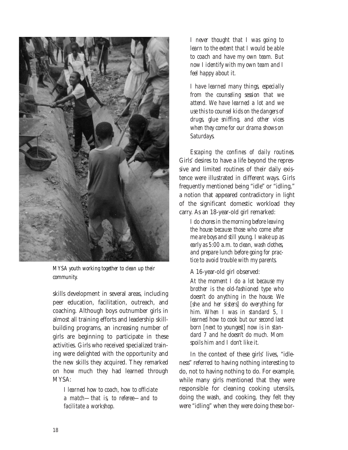

*MYSA youth working together to clean up their community.*

skills development in several areas, including peer education, facilitation, outreach, and coaching. Although boys outnumber girls in almost all training efforts and leadership skillbuilding programs, an increasing number of girls are beginning to participate in these activities. Girls who received specialized training were delighted with the opportunity and the new skills they acquired. They remarked on how much they had learned through MYSA:

*I learned how to coach, how to officiate a match—that is, to referee—and to facilitate a workshop.*

*I never thought that I was going to learn to the extent that I would be able to coach and have my own team. But now I identify with my own team and I feel happy about it.*

*I have learned many things, especially from the counseling session that we attend. We have learned a lot and we use this to counsel kids on the dangers of drugs, glue sniffing, and other vices when they come for our drama shows on Saturdays.*

*Escaping the confines of daily routines.* Girls' desires to have a life beyond the repressive and limited routines of their daily existence were illustrated in different ways. Girls frequently mentioned being "idle" or "idling," a notion that appeared contradictory in light of the significant domestic workload they carry. As an 18-year-old girl remarked:

*I do chores in the morning before leaving the house because those who come after me are boys and still young. I wake up as early as 5:00 a.m. to clean, wash clothes, and prepare lunch before going for practice to avoid trouble with my parents.*

A 16-year-old girl observed:

*At the moment I do a lot because my brother is the old-fashioned type who doesn't do anything in the house. We [she and her sisters] do everything for him. When I was in standard 5, I learned how to cook but our second last born [next to youngest] now is in standard 7 and he doesn't do much. Mom spoils him and I don't like it.*

In the context of these girls' lives, "idleness" referred to having nothing interesting to do, not to having nothing to do. For example, while many girls mentioned that they were responsible for cleaning cooking utensils, doing the wash, and cooking, they felt they were "idling" when they were doing these bor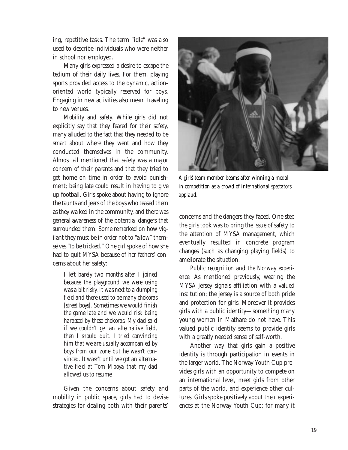ing, repetitive tasks. The term "idle" was also used to describe individuals who were neither in school nor employed.

Many girls expressed a desire to escape the tedium of their daily lives. For them, playing sports provided access to the dynamic, actionoriented world typically reserved for boys. Engaging in new activities also meant traveling to new venues.

*Mobility and safety.* While girls did not explicitly say that they feared for their safety, many alluded to the fact that they needed to be smart about where they went and how they conducted themselves in the community. Almost all mentioned that safety was a major concern of their parents and that they tried to get home on time in order to avoid punishment; being late could result in having to give up football. Girls spoke about having to ignore the taunts and jeers of the boys who teased them as they walked in the community, and there was general awareness of the potential dangers that surrounded them. Some remarked on how vigilant they must be in order not to "allow" themselves "to be tricked." One girl spoke of how she had to quit MYSA because of her fathers' concerns about her safety:

*I left barely two months after I joined because the playground we were using was a bit risky. It was next to a dumping field and there used to be many chokoras [street boys]. Sometimes we would finish the game late and we would risk being harassed by these chokoras. My dad said if we couldn't get an alternative field, then I should quit. I tried convincing him that we are usually accompanied by boys from our zone but he wasn't convinced. It wasn't until we got an alternative field at Tom Mboya that my dad allowed us to resume.*

Given the concerns about safety and mobility in public space, girls had to devise strategies for dealing both with their parents'



*A girls' team member beams after winning a medal in competition as a crowd of international spectators applaud.*

concerns and the dangers they faced. One step the girls took was to bring the issue of safety to the attention of MYSA management, which eventually resulted in concrete program changes (such as changing playing fields) to ameliorate the situation.

*Public recognition and the Norway experience.* As mentioned previously, wearing the MYSA jersey signals affiliation with a valued institution; the jersey is a source of both pride and protection for girls. Moreover it provides girls with a public identity—something many young women in Mathare do not have. This valued public identity seems to provide girls with a greatly needed sense of self-worth.

Another way that girls gain a positive identity is through participation in events in the larger world. The Norway Youth Cup provides girls with an opportunity to compete on an international level, meet girls from other parts of the world, and experience other cultures. Girls spoke positively about their experiences at the Norway Youth Cup; for many it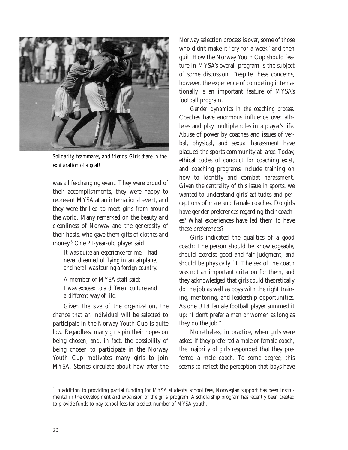

*Solidarity, teammates, and friends: Girls share in the exhilaration of a goal!*

was a life-changing event. They were proud of their accomplishments, they were happy to represent MYSA at an international event, and they were thrilled to meet girls from around the world. Many remarked on the beauty and cleanliness of Norway and the generosity of their hosts, who gave them gifts of clothes and money.3 One 21-year-old player said:

*It was quite an experience for me. I had never dreamed of flying in an airplane, and here I was touring a foreign country.*

A member of MYSA staff said: *I was exposed to a different culture and a different way of life.*

Given the size of the organization, the chance that an individual will be selected to participate in the Norway Youth Cup is quite low. Regardless, many girls pin their hopes on being chosen, and, in fact, the possibility of being chosen to participate in the Norway Youth Cup motivates many girls to join MYSA. Stories circulate about how after the

Norway selection process is over, some of those who didn't make it "cry for a week" and then quit. How the Norway Youth Cup should feature in MYSA's overall program is the subject of some discussion. Despite these concerns, however, the experience of competing internationally is an important feature of MYSA's football program.

*Gender dynamics in the coaching process.* Coaches have enormous influence over athletes and play multiple roles in a player's life. Abuse of power by coaches and issues of verbal, physical, and sexual harassment have plagued the sports community at large. Today, ethical codes of conduct for coaching exist, and coaching programs include training on how to identify and combat harassment. Given the centrality of this issue in sports, we wanted to understand girls' attitudes and perceptions of male and female coaches. Do girls have gender preferences regarding their coaches? What experiences have led them to have these preferences?

Girls indicated the qualities of a good coach: The person should be knowledgeable, should exercise good and fair judgment, and should be physically fit. The sex of the coach was not an important criterion for them, and they acknowledged that girls could theoretically do the job as well as boys with the right training, mentoring, and leadership opportunities. As one U18 female football player summed it up: "I don't prefer a man or women as long as they do the job."

Nonetheless, in practice, when girls were asked if they preferred a male or female coach, the majority of girls responded that they preferred a male coach. To some degree, this seems to reflect the perception that boys have

<sup>&</sup>lt;sup>3</sup> In addition to providing partial funding for MYSA students' school fees, Norwegian support has been instrumental in the development and expansion of the girls' program. A scholarship program has recently been created to provide funds to pay school fees for a select number of MYSA youth.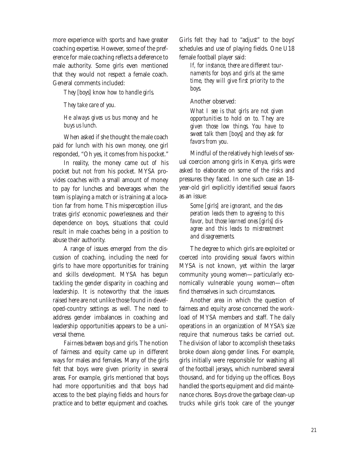more experience with sports and have greater coaching expertise. However, some of the preference for male coaching reflects a deference to male authority. Some girls even mentioned that they would not respect a female coach. General comments included:

*They [boys] know how to handle girls.*

*They take care of you.* 

#### *He always gives us bus money and he buys us lunch.*

When asked if she thought the male coach paid for lunch with his own money, one girl responded, "Oh yes, it comes from his pocket."

In reality, the money came *out of* his pocket but not *from* his pocket. MYSA provides coaches with a small amount of money to pay for lunches and beverages when the team is playing a match or is training at a location far from home. This misperception illustrates girls' economic powerlessness and their dependence on boys, situations that could result in male coaches being in a position to abuse their authority.

A range of issues emerged from the discussion of coaching, including the need for girls to have more opportunities for training and skills development. MYSA has begun tackling the gender disparity in coaching and leadership. It is noteworthy that the issues raised here are not unlike those found in developed-country settings as well. The need to address gender imbalances in coaching and leadership opportunities appears to be a universal theme.

*Fairness between boys and girls.* The notion of fairness and equity came up in different ways for males and females. Many of the girls felt that boys were given priority in several areas. For example, girls mentioned that boys had more opportunities and that boys had access to the best playing fields and hours for practice and to better equipment and coaches.

Girls felt they had to "adjust" to the boys' schedules and use of playing fields. One U18 female football player said:

*If, for instance, there are different tournaments for boys and girls at the same time, they will give first priority to the boys.*

Another observed:

*What I see is that girls are not given opportunities to hold on to. They are given those low things. You have to sweet talk them [boys] and they ask for favors from you.*

Mindful of the relatively high levels of sexual coercion among girls in Kenya, girls were asked to elaborate on some of the risks and pressures they faced. In one such case an 18 year-old girl explicitly identified sexual favors as an issue:

*Some [girls] are ignorant, and the desperation leads them to agreeing to this favor, but those learned ones [girls] disagree and this leads to mistreatment and disagreements.*

The degree to which girls are exploited or coerced into providing sexual favors within MYSA is not known, yet within the larger community young women—particularly economically vulnerable young women—often find themselves in such circumstances.

Another area in which the question of fairness and equity arose concerned the workload of MYSA members and staff. The daily operations in an organization of MYSA's size require that numerous tasks be carried out. The division of labor to accomplish these tasks broke down along gender lines. For example, girls initially were responsible for washing all of the football jerseys, which numbered several thousand, and for tidying up the offices. Boys handled the sports equipment and did maintenance chores. Boys drove the garbage clean-up trucks while girls took care of the younger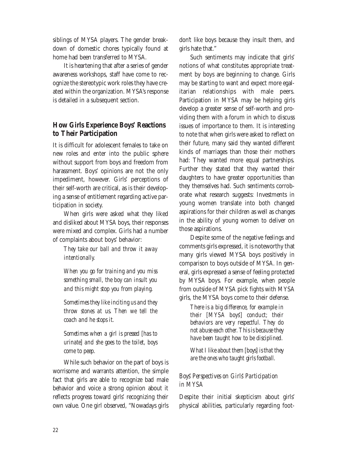siblings of MYSA players. The gender breakdown of domestic chores typically found at home had been transferred to MYSA.

It is heartening that after a series of gender awareness workshops, staff have come to recognize the stereotypic work roles they have created within the organization. MYSA's response is detailed in a subsequent section.

### **How Girls Experience Boys' Reactions to Their Participation**

It is difficult for adolescent females to take on new roles and enter into the public sphere without support from boys and freedom from harassment. Boys' opinions are not the only impediment, however. Girls' perceptions of their self-worth are critical, as is their developing a sense of entitlement regarding active participation in society.

When girls were asked what they liked and disliked about MYSA boys, their responses were mixed and complex. Girls had a number of complaints about boys' behavior:

> *They take our ball and throw it away intentionally.*

> *When you go for training and you miss something small, the boy can insult you and this might stop you from playing.*

> *Sometimes they like inciting us and they throw stones at us. Then we tell the coach and he stops it.*

> *Sometimes when a girl is pressed [has to urinate] and she goes to the toilet, boys come to peep.*

While such behavior on the part of boys is worrisome and warrants attention, the simple fact that girls are able to recognize bad male behavior and voice a strong opinion about it reflects progress toward girls' recognizing their own value. One girl observed, "Nowadays girls

don't like boys because they insult them, and girls hate that."

Such sentiments may indicate that girls' notions of what constitutes appropriate treatment by boys are beginning to change. Girls may be starting to want and expect more egalitarian relationships with male peers. Participation in MYSA may be helping girls develop a greater sense of self-worth and providing them with a forum in which to discuss issues of importance to them. It is interesting to note that when girls were asked to reflect on their future, many said they wanted different kinds of marriages than those their mothers had: They wanted more equal partnerships. Further they stated that they wanted their daughters to have greater opportunities than they themselves had. Such sentiments corroborate what research suggests: Investments in young women translate into both changed aspirations for their children as well as changes in the ability of young women to deliver on those aspirations.

Despite some of the negative feelings and comments girls expressed, it is noteworthy that many girls viewed MYSA boys positively in comparison to boys outside of MYSA. In general, girls expressed a sense of feeling protected by MYSA boys. For example, when people from outside of MYSA pick fights with MYSA girls, the MYSA boys come to their defense.

*There is a big difference, for example in their [MYSA boys'] conduct; their behaviors are very respectful. They do not abuse each other. This is because they have been taught how to be disciplined.*

*What I like about them [boys] is that they are the ones who taught girls football.*

#### *Boys' Perspectives on Girls' Participation in MYSA*

Despite their initial skepticism about girls' physical abilities, particularly regarding foot-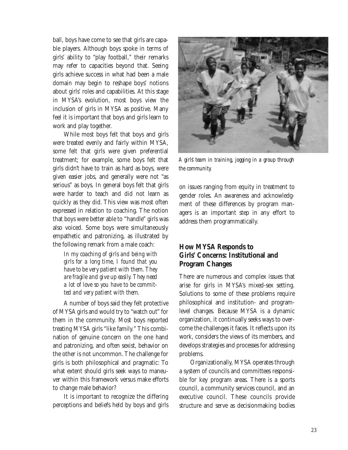ball, boys have come to see that girls are capable players. Although boys spoke in terms of girls' ability to "play football," their remarks may refer to capacities beyond that. Seeing girls achieve success in what had been a male domain may begin to reshape boys' notions about girls' roles and capabilities. At this stage in MYSA's evolution, most boys view the inclusion of girls in MYSA as positive. Many feel it is important that boys and girls learn to work and play together.

While most boys felt that boys and girls were treated evenly and fairly within MYSA, some felt that girls were given preferential treatment; for example, some boys felt that girls didn't have to train as hard as boys, were given easier jobs, and generally were not "as serious" as boys. In general boys felt that girls were harder to teach and did not learn as quickly as they did. This view was most often expressed in relation to coaching. The notion that boys were better able to "handle" girls was also voiced. Some boys were simultaneously empathetic and patronizing, as illustrated by the following remark from a male coach:

*In my coaching of girls and being with girls for a long time, I found that you have to be very patient with them. They are fragile and give up easily. They need a lot of love so you have to be committed and very patient with them.*

A number of boys said they felt protective of MYSA girls and would try to "watch out" for them in the community. Most boys reported treating MYSA girls "like family." This combination of genuine concern on the one hand and patronizing, and often sexist, behavior on the other is not uncommon. The challenge for girls is both philosophical and pragmatic: To what extent should girls seek ways to maneuver within this framework versus make efforts to change male behavior?

It is important to recognize the differing perceptions and beliefs held by boys and girls



*A girls' team in training, jogging in a group through the community.*

on issues ranging from equity in treatment to gender roles. An awareness and acknowledgment of these differences by program managers is an important step in any effort to address them programmatically.

#### **How MYSA Responds to Girls' Concerns: Institutional and Program Changes**

There are numerous and complex issues that arise for girls in MYSA's mixed-sex setting. Solutions to some of these problems require philosophical and institution- and programlevel changes. Because MYSA is a dynamic organization, it continually seeks ways to overcome the challenges it faces. It reflects upon its work, considers the views of its members, and develops strategies and processes for addressing problems.

Organizationally, MYSA operates through a system of councils and committees responsible for key program areas. There is a sports council, a community services council, and an executive council. These councils provide structure and serve as decisionmaking bodies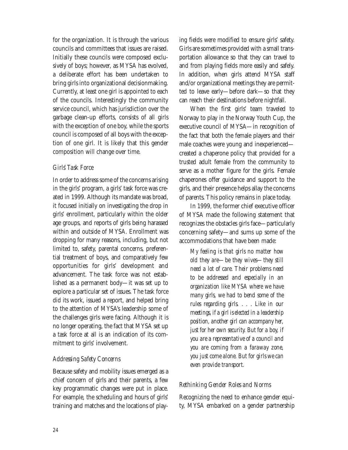for the organization. It is through the various councils and committees that issues are raised. Initially these councils were composed exclusively of boys; however, as MYSA has evolved, a deliberate effort has been undertaken to bring girls into organizational decisionmaking. Currently, at least one girl is appointed to each of the councils. Interestingly the community service council, which has jurisdiction over the garbage clean-up efforts, consists of all girls with the exception of one boy, while the sports council is composed of all boys with the exception of one girl. It is likely that this gender composition will change over time.

#### *Girls' Task Force*

In order to address some of the concerns arising in the girls' program, a girls' task force was created in 1999. Although its mandate was broad, it focused initially on investigating the drop in girls' enrollment, particularly within the older age groups, and reports of girls being harassed within and outside of MYSA. Enrollment was dropping for many reasons, including, but not limited to, safety, parental concerns, preferential treatment of boys, and comparatively few opportunities for girls' development and advancement. The task force was not established as a permanent body—it was set up to explore a particular set of issues. The task force did its work, issued a report, and helped bring to the attention of MYSA's leadership some of the challenges girls were facing. Although it is no longer operating, the fact that MYSA set up a task force at all is an indication of its commitment to girls' involvement.

#### *Addressing Safety Concerns*

Because safety and mobility issues emerged as a chief concern of girls and their parents, a few key programmatic changes were put in place. For example, the scheduling and hours of girls' training and matches and the locations of play-

ing fields were modified to ensure girls' safety. Girls are sometimes provided with a small transportation allowance so that they can travel to and from playing fields more easily and safely. In addition, when girls attend MYSA staff and/or organizational meetings they are permitted to leave early—before dark—so that they can reach their destinations before nightfall.

When the first girls' team traveled to Norway to play in the Norway Youth Cup, the executive council of MYSA—in recognition of the fact that both the female players and their male coaches were young and inexperienced created a chaperone policy that provided for a trusted adult female from the community to serve as a mother figure for the girls. Female chaperones offer guidance and support to the girls, and their presence helps allay the concerns of parents. This policy remains in place today.

In 1999, the former chief executive officer of MYSA made the following statement that recognizes the obstacles girls face—particularly concerning safety—and sums up some of the accommodations that have been made:

*My feeling is that girls no matter how old they are—be they wives—they still need a lot of care. Their problems need to be addressed and especially in an organization like MYSA where we have many girls, we had to bend some of the rules regarding girls. . . . Like in our meetings, if a girl is elected in a leadership position, another girl can accompany her, just for her own security. But for a boy, if you are a representative of a council and you are coming from a faraway zone, you just come alone. But for girls we can even provide transport.*

#### *Rethinking Gender Roles and Norms*

Recognizing the need to enhance gender equity, MYSA embarked on a gender partnership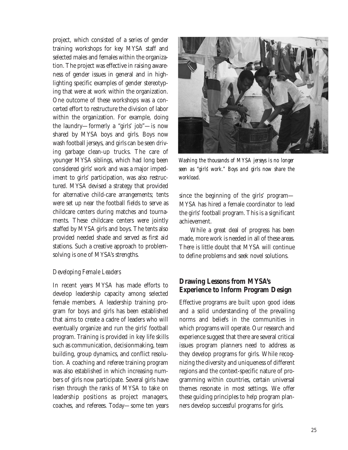project, which consisted of a series of gender training workshops for key MYSA staff and selected males and females within the organization. The project was effective in raising awareness of gender issues in general and in highlighting specific examples of gender stereotyping that were at work within the organization. One outcome of these workshops was a concerted effort to restructure the division of labor within the organization. For example, doing the laundry—formerly a "girls' job"—is now shared by MYSA boys and girls. Boys now wash football jerseys, and girls can be seen driving garbage clean-up trucks. The care of younger MYSA siblings, which had long been considered girls' work and was a major impediment to girls' participation, was also restructured. MYSA devised a strategy that provided for alternative child-care arrangements; tents were set up near the football fields to serve as childcare centers during matches and tournaments. These childcare centers were jointly staffed by MYSA girls and boys. The tents also provided needed shade and served as first aid stations. Such a creative approach to problemsolving is one of MYSA's strengths.

#### *Developing Female Leaders*

In recent years MYSA has made efforts to develop leadership capacity among selected female members. A leadership training program for boys and girls has been established that aims to create a cadre of leaders who will eventually organize and run the girls' football program. Training is provided in key life skills such as communication, decisionmaking, team building, group dynamics, and conflict resolution. A coaching and referee training program was also established in which increasing numbers of girls now participate. Several girls have risen through the ranks of MYSA to take on leadership positions as project managers, coaches, and referees. Today—some ten years



*Washing the thousands of MYSA jerseys is no longer seen as "girls' work." Boys and girls now share the workload.*

since the beginning of the girls' program— MYSA has hired a female coordinator to lead the girls' football program. This is a significant achievement.

While a great deal of progress has been made, more work is needed in all of these areas. There is little doubt that MYSA will continue to define problems and seek novel solutions.

#### **Drawing Lessons from MYSA's Experience to Inform Program Design**

Effective programs are built upon good ideas and a solid understanding of the prevailing norms and beliefs in the communities in which programs will operate. Our research and experience suggest that there are several critical issues program planners need to address as they develop programs for girls. While recognizing the diversity and uniqueness of different regions and the context-specific nature of programming within countries, certain universal themes resonate in most settings. We offer these guiding principles to help program planners develop successful programs for girls.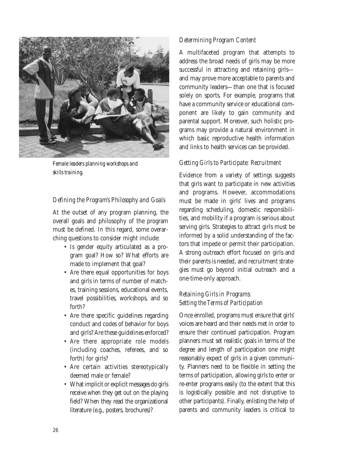

*Female leaders planning workshops and skills training.*

#### *Defining the Program's Philosophy and Goals*

At the outset of any program planning, the overall goals and philosophy of the program must be defined. In this regard, some overarching questions to consider might include:

- Is gender equity articulated as a program goal? How so? What efforts are made to implement that goal?
- Are there equal opportunities for boys and girls in terms of number of matches, training sessions, educational events, travel possibilities, workshops, and so forth?
- Are there specific guidelines regarding conduct and codes of behavior for boys and girls? Are these guidelines enforced?
- Are there appropriate role models (including coaches, referees, and so forth) for girls?
- Are certain activities stereotypically deemed male or female?
- What implicit or explicit messages do girls receive when they get out on the playing field? When they read the organizational literature (e.g., posters, brochures)?

#### *Determining Program Content*

A multifaceted program that attempts to address the broad needs of girls may be more successful in attracting and retaining girls and may prove more acceptable to parents and community leaders—than one that is focused solely on sports. For example, programs that have a community service or educational component are likely to gain community and parental support. Moreover, such holistic programs may provide a natural environment in which basic reproductive health information and links to health services can be provided.

#### *Getting Girls to Participate: Recruitment*

Evidence from a variety of settings suggests that girls want to participate in new activities and programs. However, accommodations must be made in girls' lives and programs regarding scheduling, domestic responsibilities, and mobility if a program is serious about serving girls. Strategies to attract girls must be informed by a solid understanding of the factors that impede or permit their participation. A strong outreach effort focused on girls and their parents is needed, and recruitment strategies must go beyond initial outreach and a one-time-only approach.

#### *Retaining Girls in Programs: Setting the Terms of Participation*

Once enrolled, programs must ensure that girls' voices are heard and their needs met in order to ensure their continued participation. Program planners must set realistic goals in terms of the degree and length of participation one might reasonably expect of girls in a given community. Planners need to be flexible in setting the terms of participation, allowing girls to enter or re-enter programs easily (to the extent that this is logistically possible and not disruptive to other participants). Finally, enlisting the help of parents and community leaders is critical to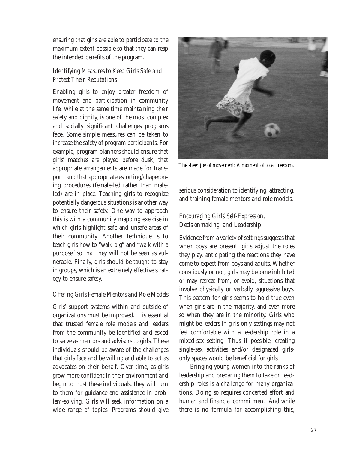ensuring that girls are able to participate to the maximum extent possible so that they can reap the intended benefits of the program.

#### *Identifying Measures to Keep Girls Safe and Protect Their Reputations*

Enabling girls to enjoy greater freedom of movement and participation in community life, while at the same time maintaining their safety and dignity, is one of the most complex and socially significant challenges programs face. Some simple measures can be taken to increase the safety of program participants. For example, program planners should ensure that girls' matches are played before dusk, that appropriate arrangements are made for transport, and that appropriate escorting/chaperoning procedures (female-led rather than maleled) are in place. Teaching girls to recognize potentially dangerous situations is another way to ensure their safety. One way to approach this is with a community mapping exercise in which girls highlight safe and unsafe areas of their community. Another technique is to teach girls how to "walk big" and "walk with a purpose" so that they will not be seen as vulnerable. Finally, girls should be taught to stay in groups, which is an extremely effective strategy to ensure safety.

#### *Offering Girls Female Mentors and Role Models*

Girls' support systems within and outside of organizations must be improved. It is essential that trusted female role models and leaders from the community be identified and asked to serve as mentors and advisors to girls. These individuals should be aware of the challenges that girls face and be willing and able to act as advocates on their behalf. Over time, as girls grow more confident in their environment and begin to trust these individuals, they will turn to them for guidance and assistance in problem-solving. Girls will seek information on a wide range of topics. Programs should give



*The sheer joy of movement: A moment of total freedom.*

serious consideration to identifying, attracting, and training female mentors and role models.

#### *Encouraging Girls' Self-Expression, Decisionmaking, and Leadership*

Evidence from a variety of settings suggests that when boys are present, girls adjust the roles they play, anticipating the reactions they have come to expect from boys and adults. Whether consciously or not, girls may become inhibited or may retreat from, or avoid, situations that involve physically or verbally aggressive boys. This pattern for girls seems to hold true even when girls are in the majority, and even more so when they are in the minority. Girls who might be leaders in girls-only settings may not feel comfortable with a leadership role in a mixed-sex setting. Thus if possible, creating single-sex activities and/or designated girlsonly spaces would be beneficial for girls.

Bringing young women into the ranks of leadership and preparing them to take on leadership roles is a challenge for many organizations. Doing so requires concerted effort and human and financial commitment. And while there is no formula for accomplishing this,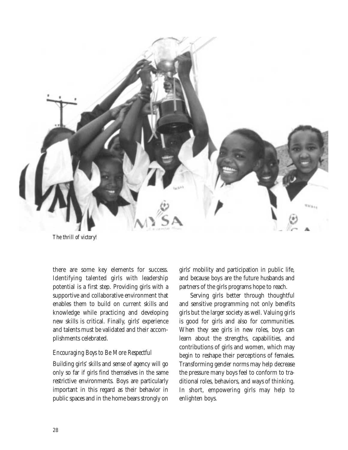

*The thrill of victory!*

there are some key elements for success. Identifying talented girls with leadership potential is a first step. Providing girls with a supportive and collaborative environment that enables them to build on current skills and knowledge while practicing and developing new skills is critical. Finally, girls' experience and talents must be validated and their accomplishments celebrated.

#### *Encouraging Boys to Be More Respectful*

Building girls' skills and sense of agency will go only so far if girls find themselves in the same restrictive environments. Boys are particularly important in this regard as their behavior in public spaces and in the home bears strongly on

girls' mobility and participation in public life, and because boys are the future husbands and partners of the girls programs hope to reach.

Serving girls better through thoughtful and sensitive programming not only benefits girls but the larger society as well. Valuing girls is good for girls and also for communities. When they see girls in new roles, boys can learn about the strengths, capabilities, and contributions of girls and women, which may begin to reshape their perceptions of females. Transforming gender norms may help decrease the pressure many boys feel to conform to traditional roles, behaviors, and ways of thinking. In short, empowering girls may help to enlighten boys.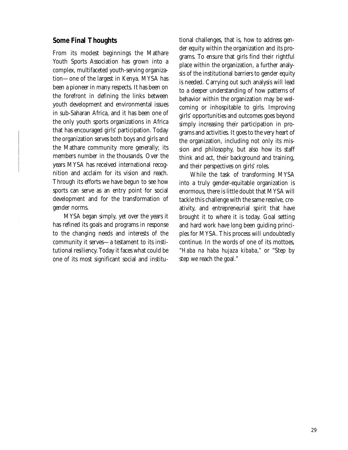#### **Some Final Thoughts**

From its modest beginnings the Mathare Youth Sports Association has grown into a complex, multifaceted youth-serving organization—one of the largest in Kenya. MYSA has been a pioneer in many respects. It has been on the forefront in defining the links between youth development and environmental issues in sub-Saharan Africa, and it has been one of the only youth sports organizations in Africa that has encouraged girls' participation. Today the organization serves both boys and girls and the Mathare community more generally; its members number in the thousands. Over the years MYSA has received international recognition and acclaim for its vision and reach. Through its efforts we have begun to see how sports can serve as an entry point for social development and for the transformation of gender norms.

MYSA began simply, yet over the years it has refined its goals and programs in response to the changing needs and interests of the community it serves—a testament to its institutional resiliency. Today it faces what could be one of its most significant social and institutional challenges, that is, how to address gender equity within the organization and its programs. To ensure that girls find their rightful place within the organization, a further analysis of the institutional barriers to gender equity is needed. Carrying out such analysis will lead to a deeper understanding of how patterns of behavior within the organization may be welcoming or inhospitable to girls. Improving girls' opportunities and outcomes goes beyond simply increasing their participation in programs and activities. It goes to the very heart of the organization, including not only its mission and philosophy, but also how its staff think and act, their background and training, and their perspectives on girls' roles.

While the task of transforming MYSA into a truly gender-equitable organization is enormous, there is little doubt that MYSA will tackle this challenge with the same resolve, creativity, and entrepreneurial spirit that have brought it to where it is today. Goal setting and hard work have long been guiding principles for MYSA. This process will undoubtedly continue. In the words of one of its mottoes, "*Haba na haba hujaza kibaba,"* or "Step by step we reach the goal."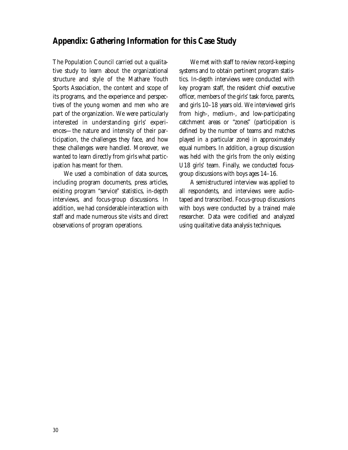## **Appendix: Gathering Information for this Case Study**

The Population Council carried out a qualitative study to learn about the organizational structure and style of the Mathare Youth Sports Association, the content and scope of its programs, and the experience and perspectives of the young women and men who are part of the organization. We were particularly interested in understanding girls' experiences—the nature and intensity of their participation, the challenges they face, and how these challenges were handled. Moreover, we wanted to learn directly from girls what participation has meant for them.

We used a combination of data sources, including program documents, press articles, existing program "service" statistics, in-depth interviews, and focus-group discussions. In addition, we had considerable interaction with staff and made numerous site visits and direct observations of program operations.

We met with staff to review record-keeping systems and to obtain pertinent program statistics. In-depth interviews were conducted with key program staff, the resident chief executive officer, members of the girls' task force, parents, and girls 10–18 years old. We interviewed girls from high-, medium-, and low-participating catchment areas or "zones" (participation is defined by the number of teams and matches played in a particular zone) in approximately equal numbers. In addition, a group discussion was held with the girls from the only existing U18 girls' team. Finally, we conducted focusgroup discussions with boys ages 14–16.

A semistructured interview was applied to all respondents, and interviews were audiotaped and transcribed. Focus-group discussions with boys were conducted by a trained male researcher. Data were codified and analyzed using qualitative data analysis techniques.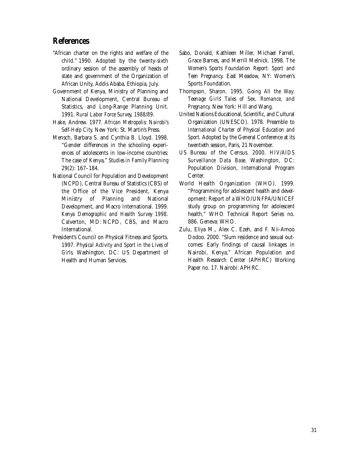#### **References**

- "African charter on the rights and welfare of the child." 1990. Adopted by the twenty-sixth ordinary session of the assembly of heads of state and government of the Organization of African Unity, Addis Ababa, Ethiopia, July.
- Government of Kenya, Ministry of Planning and National Development, Central Bureau of Statistics, and Long-Range Planning Unit. 1991. *Rural Labor Force Survey, 1988/89*.
- Hake, Andrew. 1977. *African Metropolis: Nairobi's Self-Help City.* New York: St. Martin's Press.
- Mensch, Barbara S. and Cynthia B. Lloyd. 1998. "Gender differences in the schooling experiences of adolescents in low-income countries: The case of Kenya," *Studies in Family Planning* 29(2): 167–184.
- National Council for Population and Development (NCPD), Central Bureau of Statistics (CBS) of the Office of the Vice President, Kenya Ministry of Planning and National Development, and Macro International. 1999. *Kenya Demographic and Health Survey 1998*. Calverton, MD: NCPD, CBS, and Macro **International**
- President's Council on Physical Fitness and Sports. 1997. *Physical Activity and Sport in the Lives of Girls*. Washington, DC: US Department of Health and Human Services.
- Sabo, Donald, Kathleen Miller, Michael Farrell, Grace Barnes, and Merrill Melnick. 1998. *The Women's Sports Foundation Report: Sport and Teen Pregnancy.* East Meadow, NY: Women's Sports Foundation.
- Thompson, Sharon. 1995. *Going All the Way: Teenage Girls' Tales of Sex, Romance, and Pregnancy.* New York: Hill and Wang.
- United Nations Educational, Scientific, and Cultural Organization (UNESCO). 1978. Preamble to *International Charter of Physical Education and Sport.* Adopted by the General Conference at its twentieth session, Paris, 21 November.
- US Bureau of the Census. 2000. *HIV/AIDS Surveillance Data Base.* Washington, DC: Population Division, International Program Center.
- World Health Organization (WHO). 1999. "Programming for adolescent health and development: Report of a WHO/UNFPA/UNICEF study group on programming for adolescent health," WHO Technical Report Series no. 886. Geneva: WHO.
- Zulu, Eliya M., Alex C. Ezeh, and F. Nii-Amoo Dodoo. 2000. "Slum residence and sexual outcomes: Early findings of causal linkages in Nairobi, Kenya," African Population and Health Research Center (APHRC) Working Paper no. 17. Nairobi: APHRC.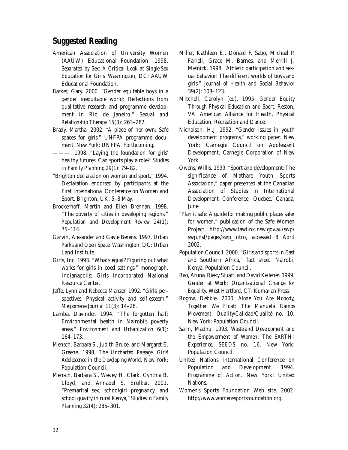## **Suggested Reading**

- American Association of University Women (AAUW) Educational Foundation. 1998. *Separated by Sex: A Critical Look at Single-Sex Education for Girls.* Washington, DC: AAUW Educational Foundation.
- Barker, Gary. 2000. "Gender equitable boys in a gender inequitable world: Reflections from qualitative research and programme development in Rio de Janeiro," *Sexual and Relationship Therapy* 15(3): 263–282.
- Brady, Martha. 2002. "A place of her own: Safe spaces for girls," UNFPA programme document. New York: UNFPA. Forthcoming.
- ———. 1998. "Laying the foundation for girls' healthy futures: Can sports play a role?" *Studies in Family Planning* 29(1): 79–82.
- "Brighton declaration on women and sport." 1994. Declaration endorsed by participants at the First International Conference on Women and Sport, Brighton, UK, 5–8 May.
- Brockerhoff, Martin and Ellen Brennan. 1998. "The poverty of cities in developing regions," *Population and Development Review* 24(1): 75–114.
- Garvin, Alexander and Gayle Berens. 1997. *Urban Parks and Open Space.* Washington, DC: Urban Land Institute.
- Girls, Inc. 1993. "What's equal? Figuring out what works for girls in coed settings," monograph. Indianapolis: Girls Incorporated National Resource Center.
- Jaffe, Lynn and Rebecca Manzer. 1992. "Girls' perspectives: Physical activity and self-esteem," *Melpomene Journal* 11(3): 14–28.
- Lamba, Davinder. 1994. "The forgotten half: Environmental health in Nairobi's poverty areas," *Environment and Urbanization* 6(1): 164–173.
- Mensch, Barbara S., Judith Bruce, and Margaret E. Greene. 1998. *The Uncharted Passage: Girls' Adolescence in the Developing World.* New York: Population Council.
- Mensch, Barbara S., Wesley H. Clark, Cynthia B. Lloyd, and Annabel S. Erulkar. 2001. "Premarital sex, schoolgirl pregnancy, and school quality in rural Kenya," *Studies in Family Planning* 32(4): 285–301.
- Miller, Kathleen E., Donald F. Sabo, Michael P. Farrell, Grace M. Barnes, and Merrill J. Melnick. 1998. "Athletic participation and sexual behavior: The different worlds of boys and girls," *Journal of Health and Social Behavior* 39(2): 108–123.
- Mitchell, Carolyn (ed). 1995. *Gender Equity Through Physical Education and Sport.* Reston, VA: American Alliance for Health, Physical Education, Recreation and Dance.
- Nicholson, H.J. 1992. "Gender issues in youth development programs," working paper. New York: Carnegie Council on Adolescent Development, Carnegie Corporation of New York.
- Owens, Willis. 1999. "Sport and development: The significance of Mathare Youth Sports Association," paper presented at the Canadian Association of Studies in International Development Conference, Quebec, Canada, June.
- "Plan it safe: A guide for making public places safer for women," publication of the Safe Women Project, http://www.lawlink.nsw.gov.au/swp/ swp.nsf/pages/swp\_intro, accessed 8 April 2002.
- Population Council. 2000. "Girls and sports in East and Southern Africa," fact sheet. Nairobi, Kenya: Population Council.
- Rao, Aruna, Rieky Stuart, and David Kelleher. 1999. *Gender at Work: Organizational Change for Equality*. West Hartford, CT: Kumarian Press.
- Rogow, Debbie. 2000. *Alone You Are Nobody, Together We Float: The Manuela Ramos Movement, Quality/Calidad/Qualité* no. 10. New York: Population Council.
- Sarin, Madhu. 1993. *Wasteland Development and the Empowerment of Women: The SARTHI Experience, SEEDS* no. 16. New York: Population Council.
- United Nations International Conference on Population and Development. 1994. *Programme of Action*. New York: United Nations*.*
- Women's Sports Foundation Web site. 2002. http://www.womenssportsfoundation.org.